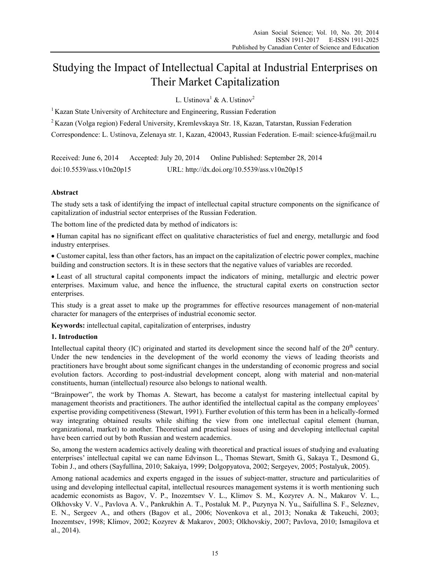# Studying the Impact of Intellectual Capital at Industrial Enterprises on Their Market Capitalization

L. Ustinova<sup>1</sup> & A. Ustinov<sup>2</sup>

<sup>1</sup> Kazan State University of Architecture and Engineering, Russian Federation

2 Kazan (Volga region) Federal University, Kremlevskaya Str. 18, Kazan, Tatarstan, Russian Federation

Correspondence: L. Ustinova, Zelenaya str. 1, Kazan, 420043, Russian Federation. E-mail: science-kfu@mail.ru

Received: June 6, 2014 Accepted: July 20, 2014 Online Published: September 28, 2014 doi:10.5539/ass.v10n20p15 URL: http://dx.doi.org/10.5539/ass.v10n20p15

# **Abstract**

The study sets a task of identifying the impact of intellectual capital structure components on the significance of capitalization of industrial sector enterprises of the Russian Federation.

The bottom line of the predicted data by method of indicators is:

 Human capital has no significant effect on qualitative characteristics of fuel and energy, metallurgic and food industry enterprises.

 Customer capital, less than other factors, has an impact on the capitalization of electric power complex, machine building and construction sectors. It is in these sectors that the negative values of variables are recorded.

 Least of all structural capital components impact the indicators of mining, metallurgic and electric power enterprises. Maximum value, and hence the influence, the structural capital exerts on construction sector enterprises.

This study is a great asset to make up the programmes for effective resources management of non-material character for managers of the enterprises of industrial economic sector.

**Keywords:** intellectual capital, capitalization of enterprises, industry

## **1. Introduction**

Intellectual capital theory (IC) originated and started its development since the second half of the  $20<sup>th</sup>$  century. Under the new tendencies in the development of the world economy the views of leading theorists and practitioners have brought about some significant changes in the understanding of economic progress and social evolution factors. According to post-industrial development concept, along with material and non-material constituents, human (intellectual) resource also belongs to national wealth.

"Brainpower", the work by Thomas A. Stewart, has become a catalyst for mastering intellectual capital by management theorists and practitioners. The author identified the intellectual capital as the company employees' expertise providing competitiveness (Stewart, 1991). Further evolution of this term has been in a helically-formed way integrating obtained results while shifting the view from one intellectual capital element (human, organizational, market) to another. Theoretical and practical issues of using and developing intellectual capital have been carried out by both Russian and western academics.

So, among the western academics actively dealing with theoretical and practical issues of studying and evaluating enterprises' intellectual capital we can name Edvinson L., Thomas Stewart, Smith G., Sakaya T., Desmond G., Tobin J., and others (Sayfullina, 2010; Sakaiya, 1999; Dolgopyatova, 2002; Sergeyev, 2005; Postalyuk, 2005).

Among national academics and experts engaged in the issues of subject-matter, structure and particularities of using and developing intellectual capital, intellectual resources management systems it is worth mentioning such academic economists as Bagov, V. P., Inozemtsev V. L., Klimov S. M., Kozyrev A. N., Makarov V. L., Olkhovsky V. V., Pavlova A. V., Pankrukhin A. T., Postaluk M. P., Puzynya N. Yu., Saifullina S. F., Seleznev, E. N., Sergeev A., and others (Bagov et al., 2006; Novenkova et al., 2013; Nonaka & Takeuchi, 2003; Inozemtsev, 1998; Klimov, 2002; Kozyrev & Makarov, 2003; Olkhovskiy, 2007; Pavlova, 2010; Ismagilova et al., 2014).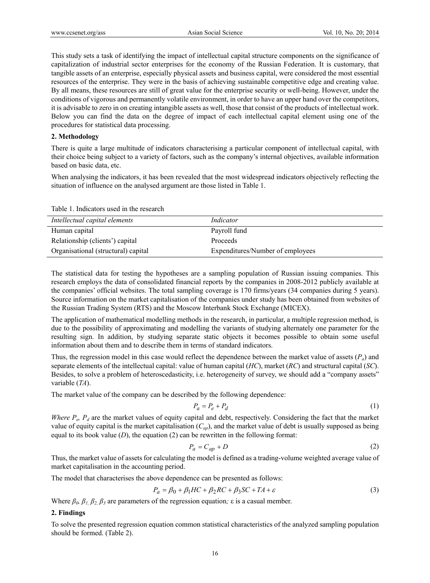This study sets a task of identifying the impact of intellectual capital structure components on the significance of capitalization of industrial sector enterprises for the economy of the Russian Federation. It is customary, that tangible assets of an enterprise, especially physical assets and business capital, were considered the most essential resources of the enterprise. They were in the basis of achieving sustainable competitive edge and creating value. By all means, these resources are still of great value for the enterprise security or well-being. However, under the conditions of vigorous and permanently volatile environment, in order to have an upper hand over the competitors, it is advisable to zero in on creating intangible assets as well, those that consist of the products of intellectual work. Below you can find the data on the degree of impact of each intellectual capital element using one of the procedures for statistical data processing.

## **2. Methodology**

There is quite a large multitude of indicators characterising a particular component of intellectual capital, with their choice being subject to a variety of factors, such as the company's internal objectives, available information based on basic data, etc.

When analysing the indicators, it has been revealed that the most widespread indicators objectively reflecting the situation of influence on the analysed argument are those listed in Table 1.

| Table 1. Indicators used in the research |  |  |  |  |  |
|------------------------------------------|--|--|--|--|--|
|------------------------------------------|--|--|--|--|--|

| Intellectual capital elements       | Indicator                        |
|-------------------------------------|----------------------------------|
| Human capital                       | Payroll fund                     |
| Relationship (clients') capital     | Proceeds                         |
| Organisational (structural) capital | Expenditures/Number of employees |

The statistical data for testing the hypotheses are a sampling population of Russian issuing companies. This research employs the data of consolidated financial reports by the companies in 2008-2012 publicly available at the companies' official websites. The total sampling coverage is 170 firms/years (34 companies during 5 years). Source information on the market capitalisation of the companies under study has been obtained from websites of the Russian Trading System (RTS) and the Moscow Interbank Stock Exchange (MICEX).

The application of mathematical modelling methods in the research, in particular, a multiple regression method, is due to the possibility of approximating and modelling the variants of studying alternately one parameter for the resulting sign. In addition, by studying separate static objects it becomes possible to obtain some useful information about them and to describe them in terms of standard indicators.

Thus, the regression model in this case would reflect the dependence between the market value of assets (*Ра*) and separate elements of the intellectual capital: value of human capital (*НС*), market (*RC*) and structural capital (*SC*). Besides, to solve a problem of heteroscedasticity, i.e. heterogeneity of survey, we should add a "company assets" variable (*ТА*).

The market value of the company can be described by the following dependence:

$$
P_a = P_e + P_d \tag{1}
$$

*Where P<sub>e</sub>, P<sub>d</sub>* are the market values of equity capital and debt, respectively. Considering the fact that the market value of equity capital is the market capitalisation  $(C_{ap})$ , and the market value of debt is usually supposed as being equal to its book value  $(D)$ , the equation  $(2)$  can be rewritten in the following format:

$$
P_a = C_{ap} + D \tag{2}
$$

Thus, the market value of assets for calculating the model is defined as a trading-volume weighted average value of market capitalisation in the accounting period.

The model that characterises the above dependence can be presented as follows:

$$
P_a = \beta_0 + \beta_1 HC + \beta_2 RC + \beta_3 SC + TA + \varepsilon
$$
\n(3)

Where  $β_0$ ,  $β_1$ ,  $β_2$ ,  $β_3$  are parameters of the regression equation; *ε* is a casual member.

#### **2. Findings**

To solve the presented regression equation common statistical characteristics of the analyzed sampling population should be formed. (Table 2).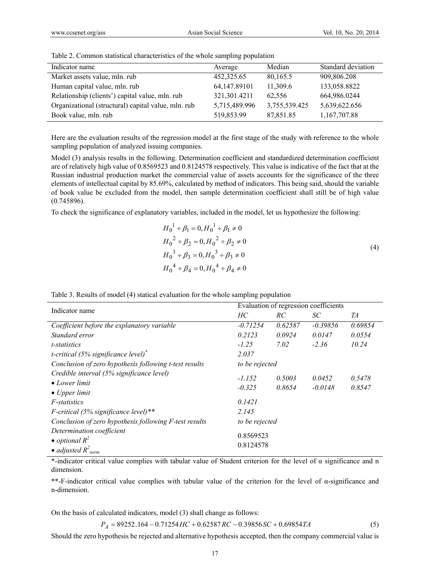| Indicator name                                      | Average       | Median        | Standard deviation |
|-----------------------------------------------------|---------------|---------------|--------------------|
| Market assets value, mln. rub                       | 452,325.65    | 80,165.5      | 909,806.208        |
| Human capital value, mln. rub                       | 64,147.89101  | 11,309.6      | 133,058.8822       |
| Relationship (clients') capital value, mln. rub     | 321,301.4211  | 62.556        | 664,986.0244       |
| Organizational (structural) capital value, mln. rub | 5,715,489.996 | 3,755,539.425 | 5,639,622.656      |
| Book value, mln. rub                                | 519,853.99    | 87,851.85     | 1,167,707.88       |

Table 2. Common statistical characteristics of the whole sampling population

Here are the evaluation results of the regression model at the first stage of the study with reference to the whole sampling population of analyzed issuing companies.

Model (3) analysis results in the following. Determination coefficient and standardized determination coefficient are of relatively high value of 0.8569523 and 0.8124578 respectively. This value is indicative of the fact that at the Russian industrial production market the commercial value of assets accounts for the significance of the three elements of intellectual capital by 85.69%, calculated by method of indicators. This being said, should the variable of book value be excluded from the model, then sample determination coefficient shall still be of high value (0.745896).

To check the significance of explanatory variables, included in the model, let us hypothesize the following:

$$
H_0^1 \div \beta_1 = 0, H_0^1 \div \beta_1 \neq 0
$$
  
\n
$$
H_0^2 \div \beta_2 = 0, H_0^2 \div \beta_2 \neq 0
$$
  
\n
$$
H_0^3 \div \beta_3 = 0, H_0^3 \div \beta_3 \neq 0
$$
  
\n
$$
H_0^4 \div \beta_4 = 0, H_0^4 \div \beta_4 \neq 0
$$
\n(4)

| Indicator name                                                     | Evaluation of regression coefficients |         |            |         |  |
|--------------------------------------------------------------------|---------------------------------------|---------|------------|---------|--|
|                                                                    | HC                                    | RC.     | SC         | TA      |  |
| Coefficient before the explanatory variable                        | $-0.71254$                            | 0.62587 | $-0.39856$ | 0.69854 |  |
| Standard error                                                     | 0.2123                                | 0.0924  | 0.0147     | 0.0554  |  |
| t-statistics                                                       | $-1.25$                               | 7.02    | $-2.36$    | 10.24   |  |
| t-critical (5% significance level) <sup>*</sup>                    | 2.037                                 |         |            |         |  |
| Conclusion of zero hypothesis following t-test results             | to be rejected                        |         |            |         |  |
| Credible interval (5% significance level)<br>$\bullet$ Lower limit | $-1.152$                              | 0.5003  | 0.0452     | 0.5478  |  |
| $\bullet$ Upper limit                                              | $-0.325$                              | 0.8654  | $-0.0148$  | 0.8547  |  |
| <i>F</i> -statistics                                               | 0.1421                                |         |            |         |  |
| F-critical (5% significance level)**                               | 2.145                                 |         |            |         |  |
| Conclusion of zero hypothesis following F-test results             | to be rejected                        |         |            |         |  |
| Determination coefficient<br>• optional $R^2$                      | 0.8569523                             |         |            |         |  |
| • adjusted $R^2_{norm}$                                            | 0.8124578                             |         |            |         |  |

Table 3. Results of model (4) statical evaluation for the whole sampling population

\*-indicator critical value complies with tabular value of Student criterion for the level of α significance and n dimension.

\*\*-F-indicator critical value complies with tabular value of the criterion for the level of α-significance and n-dimension.

On the basis of calculated indicators, model (3) shall change as follows:

 $P_A = 89252.164 - 0.71254$  *HC* + 0.62587 *RC* - 0.39856*SC* + 0.69854*TA* (5)

Should the zero hypothesis be rejected and alternative hypothesis accepted, then the company commercial value is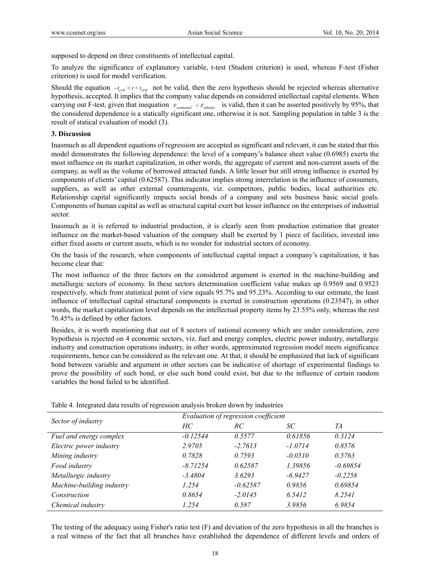supposed to depend on three constituents of intellectual capital.

To analyze the significance of explanatory variable, t-test (Student criterion) is used, whereas F-test (Fisher criterion) is used for model verification.

Should the equation  $-t_{crit} < t < t_{crit}$  not be valid, then the zero hypothesis should be rejected whereas alternative hypothesis, accepted. It implies that the company value depends on considered intellectual capital elements. When carrying out F-test, given that inequation  $F_{estimated} < F_{tabular}$  is valid, then it can be asserted positively by 95%, that the considered dependence is a statically significant one, otherwise it is not. Sampling population in table 3 is the result of statical evaluation of model (3).

## **3. Discussion**

Inasmuch as all dependent equations of regression are accepted as significant and relevant, it can be stated that this model demonstrates the following dependence: the level of a company's balance sheet value (0.6985) exerts the most influence on its market capitalization, in other words, the aggregate of current and non-current assets of the company, as well as the volume of borrowed attracted funds. A little lesser but still strong influence is exerted by components of clients' capital (0.62587). This indicator implies strong interrelation in the influence of consumers, suppliers, as well as other external counteragents, viz. competitors, public bodies, local authorities etc. Relationship capital significantly impacts social bonds of a company and sets business basic social goals. Components of human capital as well as structural capital exert but lesser influence on the enterprises of industrial sector.

Inasmuch as it is referred to industrial production, it is clearly seen from production estimation that greater influence on the market-based valuation of the company shall be exerted by 1 piece of facilities, invested into either fixed assets or current assets, which is no wonder for industrial sectors of economy.

On the basis of the research, when components of intellectual capital impact a company's capitalization, it has become clear that:

The most influence of the three factors on the considered argument is exerted in the machine-building and metallurgic sectors of economy. In these sectors determination coefficient value makes up 0.9569 and 0.9523 respectively, which from statistical point of view equals 95.7% and 95.23%. According to our estimate, the least influence of intellectual capital structural components is exerted in construction operations (0.23547), in other words, the market capitalization level depends on the intellectual property items by 23.55% only, whereas the rest 76.45% is defined by other factors.

Besides, it is worth mentioning that out of 8 sectors of national economy which are under consideration, zero hypothesis is rejected on 4 economic sectors, viz. fuel and energy complex, electric power industry, metallurgic industry and construction operations industry, in other words, approximated regression model meets significance requirements, hence can be considered as the relevant one. At that, it should be emphasized that lack of significant bond between variable and argument in other sectors can be indicative of shortage of experimental findings to prove the possibility of such bond, or else such bond could exist, but due to the influence of certain random variables the bond failed to be identified.

|                           | Evaluation of regression coefficient |            |           |            |
|---------------------------|--------------------------------------|------------|-----------|------------|
| Sector of industry        | HС                                   | RС         | SС        | TА         |
| Fuel and energy complex   | $-0.12544$                           | 0.5577     | 0.61856   | 0.3124     |
| Electric power industry   | 2.9705                               | $-2.7613$  | $-1.0714$ | 0.8576     |
| Mining industry           | 0.7828                               | 0.7593     | $-0.0510$ | 0.5763     |
| Food industry             | $-8.71254$                           | 0.62587    | 1.39856   | $-0.69854$ |
| Metallurgic industry      | $-3.4804$                            | 3.6293     | $-6.9427$ | $-0.2258$  |
| Machine-building industry | 1.254                                | $-0.62587$ | 0.9856    | 0.69854    |
| Construction              | 0.8654                               | $-2.0145$  | 6.5412    | 8.2541     |
| Chemical industry         | 1.254                                | 0.587      | 3.9856    | 6.9854     |

Table 4. Integrated data results of regression analysis broken down by industries

The testing of the adequacy using Fisher's ratio test (F) and deviation of the zero hypothesis in all the branches is a real witness of the fact that all branches have established the dependence of different levels and orders of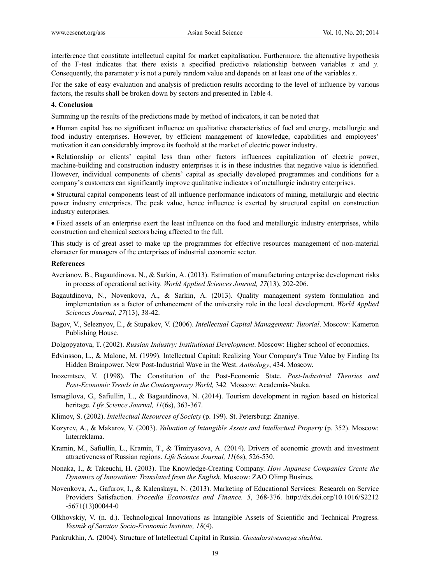interference that constitute intellectual capital for market capitalisation. Furthermore, the alternative hypothesis of the F-test indicates that there exists a specified predictive relationship between variables *x* and *y*. Consequently, the parameter *y* is not a purely random value and depends on at least one of the variables *x*.

For the sake of easy evaluation and analysis of prediction results according to the level of influence by various factors, the results shall be broken down by sectors and presented in Table 4.

#### **4. Conclusion**

Summing up the results of the predictions made by method of indicators, it can be noted that

 Human capital has no significant influence on qualitative characteristics of fuel and energy, metallurgic and food industry enterprises. However, by efficient management of knowledge, capabilities and employees' motivation it can considerably improve its foothold at the market of electric power industry.

 Relationship or clients' capital less than other factors influences capitalization of electric power, machine-building and construction industry enterprises it is in these industries that negative value is identified. However, individual components of clients' capital as specially developed programmes and conditions for a company's customers can significantly improve qualitative indicators of metallurgic industry enterprises.

 Structural capital components least of all influence performance indicators of mining, metallurgic and electric power industry enterprises. The peak value, hence influence is exerted by structural capital on construction industry enterprises.

 Fixed assets of an enterprise exert the least influence on the food and metallurgic industry enterprises, while construction and chemical sectors being affected to the full.

This study is of great asset to make up the programmes for effective resources management of non-material character for managers of the enterprises of industrial economic sector.

#### **References**

- Averianov, B., Bagautdinova, N., & Sarkin, A. (2013). Estimation of manufacturing enterprise development risks in process of operational activity. *World Applied Sciences Journal, 27*(13), 202-206.
- Bagautdinova, N., Novenkova, A., & Sarkin, A. (2013). Quality management system formulation and implementation as a factor of enhancement of the university role in the local development. *World Applied Sciences Journal, 27*(13), 38-42.
- Bagov, V., Seleznyov, E., & Stupakov, V. (2006). *Intellectual Capital Management: Tutorial*. Moscow: Kameron Publishing House.
- Dolgopyatova, T. (2002). *Russian Industry: Institutional Development*. Moscow: Higher school of economics.
- Edvinsson, L., & Malone, M. (1999). Intellectual Capital: Realizing Your Company's True Value by Finding Its Hidden Brainpower. New Post-Industrial Wave in the West. *Anthology*, 434. Moscow.
- Inozemtsev, V. (1998). The Constitution of the Post-Economic State. *Post-Industrial Theories and Post-Economic Trends in the Contemporary World,* 342*.* Moscow: Academia-Nauka.
- Ismagilova, G., Safiullin, L., & Bagautdinova, N. (2014). Tourism development in region based on historical heritage. *Life Science Journal, 11*(6s), 363-367.
- Klimov, S. (2002). *Intellectual Resources of Society* (p. 199). St. Petersburg: Znaniye.
- Kozyrev, A., & Makarov, V. (2003). *Valuation of Intangible Assets and Intellectual Property* (p. 352). Moscow: Interreklama.
- Kramin, M., Safiullin, L., Kramin, T., & Timiryasova, A. (2014). Drivers of economic growth and investment attractiveness of Russian regions. *Life Science Journal, 11*(6s), 526-530.
- Nonaka, I., & Takeuchi, H. (2003). The Knowledge-Creating Company. *How Japanese Companies Create the Dynamics of Innovation: Translated from the English.* Moscow: ZAO Olimp Busines.
- Novenkova, A., Gafurov, I., & Kalenskaya, N. (2013). Marketing of Educational Services: Research on Service Providers Satisfaction. *Procedia Economics and Finance, 5*, 368-376. http://dx.doi.org/10.1016/S2212 -5671(13)00044-0
- Olkhovskiy, V. (n. d.). Technological Innovations as Intangible Assets of Scientific and Technical Progress. *Vestnik of Saratov Socio-Economic Institute, 18*(4).
- Pankrukhin, A. (2004). Structure of Intellectual Capital in Russia. *Gosudarstvennaya sluzhba.*